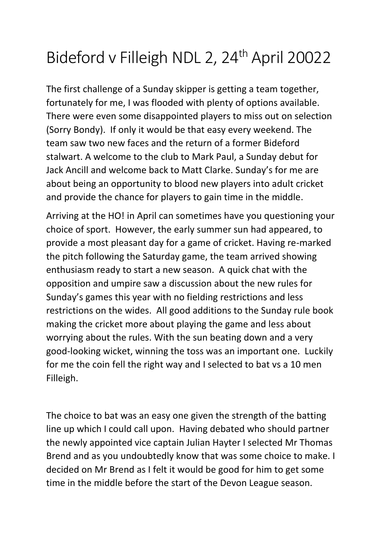## Bideford v Filleigh NDL 2, 24<sup>th</sup> April 20022

The first challenge of a Sunday skipper is getting a team together, fortunately for me, I was flooded with plenty of options available. There were even some disappointed players to miss out on selection (Sorry Bondy). If only it would be that easy every weekend. The team saw two new faces and the return of a former Bideford stalwart. A welcome to the club to Mark Paul, a Sunday debut for Jack Ancill and welcome back to Matt Clarke. Sunday's for me are about being an opportunity to blood new players into adult cricket and provide the chance for players to gain time in the middle.

Arriving at the HO! in April can sometimes have you questioning your choice of sport. However, the early summer sun had appeared, to provide a most pleasant day for a game of cricket. Having re-marked the pitch following the Saturday game, the team arrived showing enthusiasm ready to start a new season. A quick chat with the opposition and umpire saw a discussion about the new rules for Sunday's games this year with no fielding restrictions and less restrictions on the wides. All good additions to the Sunday rule book making the cricket more about playing the game and less about worrying about the rules. With the sun beating down and a very good-looking wicket, winning the toss was an important one. Luckily for me the coin fell the right way and I selected to bat vs a 10 men Filleigh.

The choice to bat was an easy one given the strength of the batting line up which I could call upon. Having debated who should partner the newly appointed vice captain Julian Hayter I selected Mr Thomas Brend and as you undoubtedly know that was some choice to make. I decided on Mr Brend as I felt it would be good for him to get some time in the middle before the start of the Devon League season.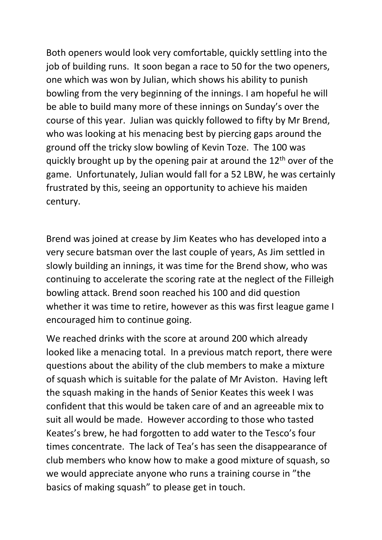Both openers would look very comfortable, quickly settling into the job of building runs. It soon began a race to 50 for the two openers, one which was won by Julian, which shows his ability to punish bowling from the very beginning of the innings. I am hopeful he will be able to build many more of these innings on Sunday's over the course of this year. Julian was quickly followed to fifty by Mr Brend, who was looking at his menacing best by piercing gaps around the ground off the tricky slow bowling of Kevin Toze. The 100 was quickly brought up by the opening pair at around the  $12<sup>th</sup>$  over of the game. Unfortunately, Julian would fall for a 52 LBW, he was certainly frustrated by this, seeing an opportunity to achieve his maiden century.

Brend was joined at crease by Jim Keates who has developed into a very secure batsman over the last couple of years, As Jim settled in slowly building an innings, it was time for the Brend show, who was continuing to accelerate the scoring rate at the neglect of the Filleigh bowling attack. Brend soon reached his 100 and did question whether it was time to retire, however as this was first league game I encouraged him to continue going.

We reached drinks with the score at around 200 which already looked like a menacing total. In a previous match report, there were questions about the ability of the club members to make a mixture of squash which is suitable for the palate of Mr Aviston. Having left the squash making in the hands of Senior Keates this week I was confident that this would be taken care of and an agreeable mix to suit all would be made. However according to those who tasted Keates's brew, he had forgotten to add water to the Tesco's four times concentrate. The lack of Tea's has seen the disappearance of club members who know how to make a good mixture of squash, so we would appreciate anyone who runs a training course in "the basics of making squash" to please get in touch.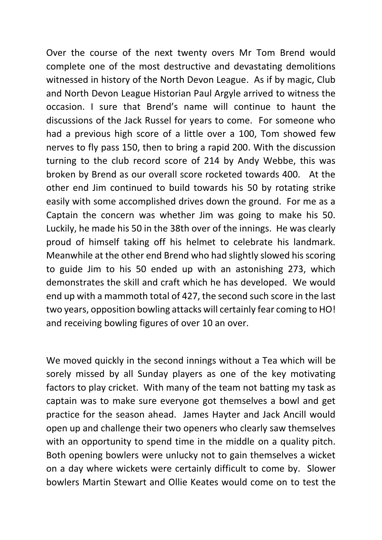Over the course of the next twenty overs Mr Tom Brend would complete one of the most destructive and devastating demolitions witnessed in history of the North Devon League. As if by magic, Club and North Devon League Historian Paul Argyle arrived to witness the occasion. I sure that Brend's name will continue to haunt the discussions of the Jack Russel for years to come. For someone who had a previous high score of a little over a 100, Tom showed few nerves to fly pass 150, then to bring a rapid 200. With the discussion turning to the club record score of 214 by Andy Webbe, this was broken by Brend as our overall score rocketed towards 400. At the other end Jim continued to build towards his 50 by rotating strike easily with some accomplished drives down the ground. For me as a Captain the concern was whether Jim was going to make his 50. Luckily, he made his 50 in the 38th over of the innings. He was clearly proud of himself taking off his helmet to celebrate his landmark. Meanwhile at the other end Brend who had slightly slowed his scoring to guide Jim to his 50 ended up with an astonishing 273, which demonstrates the skill and craft which he has developed. We would end up with a mammoth total of 427, the second such score in the last two years, opposition bowling attacks will certainly fear coming to HO! and receiving bowling figures of over 10 an over.

We moved quickly in the second innings without a Tea which will be sorely missed by all Sunday players as one of the key motivating factors to play cricket. With many of the team not batting my task as captain was to make sure everyone got themselves a bowl and get practice for the season ahead. James Hayter and Jack Ancill would open up and challenge their two openers who clearly saw themselves with an opportunity to spend time in the middle on a quality pitch. Both opening bowlers were unlucky not to gain themselves a wicket on a day where wickets were certainly difficult to come by. Slower bowlers Martin Stewart and Ollie Keates would come on to test the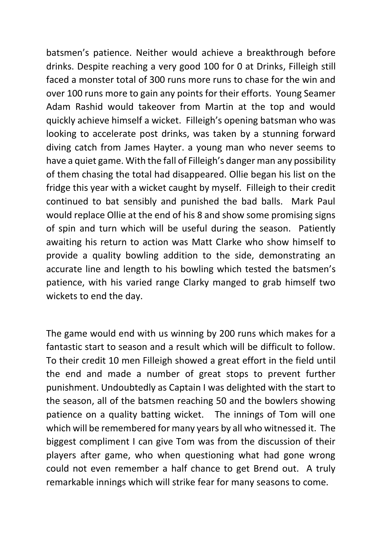batsmen's patience. Neither would achieve a breakthrough before drinks. Despite reaching a very good 100 for 0 at Drinks, Filleigh still faced a monster total of 300 runs more runs to chase for the win and over 100 runs more to gain any points for their efforts. Young Seamer Adam Rashid would takeover from Martin at the top and would quickly achieve himself a wicket. Filleigh's opening batsman who was looking to accelerate post drinks, was taken by a stunning forward diving catch from James Hayter. a young man who never seems to have a quiet game. With the fall of Filleigh's danger man any possibility of them chasing the total had disappeared. Ollie began his list on the fridge this year with a wicket caught by myself. Filleigh to their credit continued to bat sensibly and punished the bad balls. Mark Paul would replace Ollie at the end of his 8 and show some promising signs of spin and turn which will be useful during the season. Patiently awaiting his return to action was Matt Clarke who show himself to provide a quality bowling addition to the side, demonstrating an accurate line and length to his bowling which tested the batsmen's patience, with his varied range Clarky manged to grab himself two wickets to end the day.

The game would end with us winning by 200 runs which makes for a fantastic start to season and a result which will be difficult to follow. To their credit 10 men Filleigh showed a great effort in the field until the end and made a number of great stops to prevent further punishment. Undoubtedly as Captain I was delighted with the start to the season, all of the batsmen reaching 50 and the bowlers showing patience on a quality batting wicket. The innings of Tom will one which will be remembered for many years by all who witnessed it. The biggest compliment I can give Tom was from the discussion of their players after game, who when questioning what had gone wrong could not even remember a half chance to get Brend out. A truly remarkable innings which will strike fear for many seasons to come.